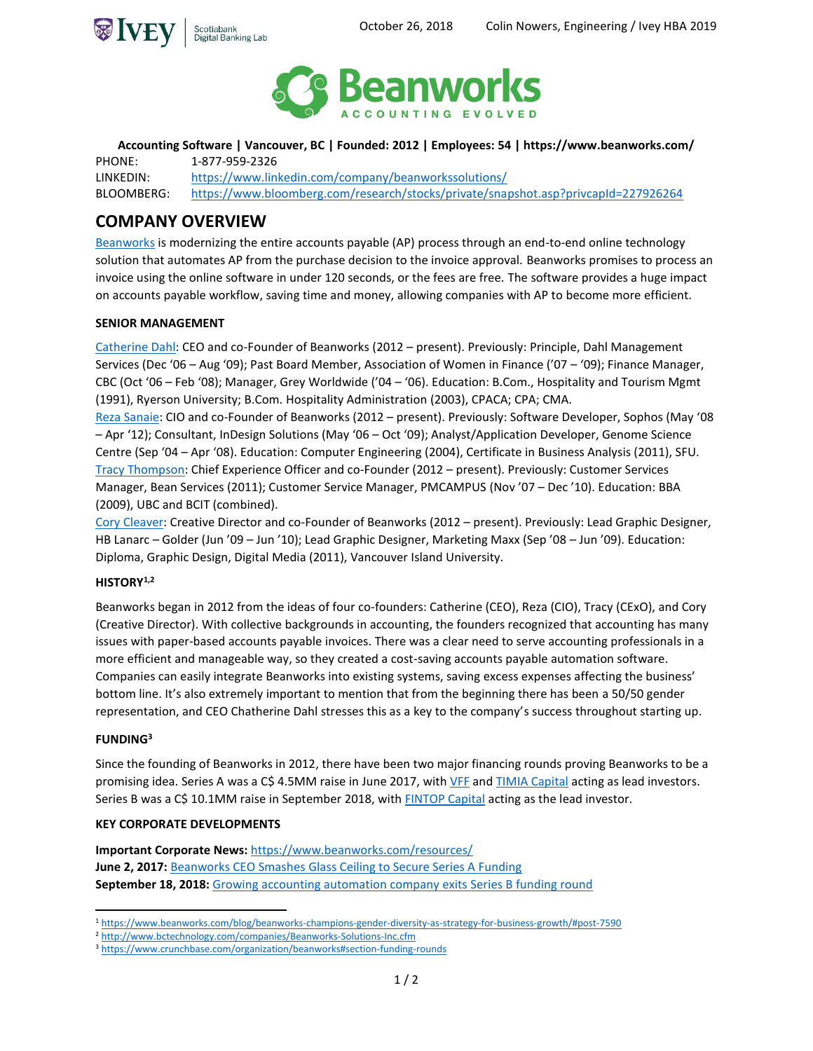



**Accounting Software | Vancouver, BC | Founded: 2012 | Employees: 54 | https://www.beanworks.com/**

PHONE: 1-877-959-2326 LINKEDIN: <https://www.linkedin.com/company/beanworkssolutions/> BLOOMBERG: <https://www.bloomberg.com/research/stocks/private/snapshot.asp?privcapId=227926264>

# **COMPANY OVERVIEW**

[Beanworks](https://www.beanworks.com/) is modernizing the entire accounts payable (AP) process through an end-to-end online technology solution that automates AP from the purchase decision to the invoice approval. Beanworks promises to process an invoice using the online software in under 120 seconds, or the fees are free. The software provides a huge impact on accounts payable workflow, saving time and money, allowing companies with AP to become more efficient.

# **SENIOR MANAGEMENT**

[Catherine Dahl:](https://www.linkedin.com/in/catherinedahl/) CEO and co-Founder of Beanworks (2012 – present). Previously: Principle, Dahl Management Services (Dec '06 – Aug '09); Past Board Member, Association of Women in Finance ('07 – '09); Finance Manager, CBC (Oct '06 – Feb '08); Manager, Grey Worldwide ('04 – '06). Education: B.Com., Hospitality and Tourism Mgmt (1991), Ryerson University; B.Com. Hospitality Administration (2003), CPACA; CPA; CMA.

[Reza Sanaie:](https://www.linkedin.com/in/rezasanaie/?originalSubdomain=ca) CIO and co-Founder of Beanworks (2012 – present). Previously: Software Developer, Sophos (May '08 – Apr '12); Consultant, InDesign Solutions (May '06 – Oct '09); Analyst/Application Developer, Genome Science Centre (Sep '04 – Apr '08). Education: Computer Engineering (2004), Certificate in Business Analysis (2011), SFU. [Tracy Thompson:](https://www.linkedin.com/in/t-k-thompson-70539067/?originalSubdomain=ca) Chief Experience Officer and co-Founder (2012 – present). Previously: Customer Services Manager, Bean Services (2011); Customer Service Manager, PMCAMPUS (Nov '07 – Dec '10). Education: BBA (2009), UBC and BCIT (combined).

[Cory Cleaver:](https://www.linkedin.com/in/corycleaver?originalSubdomain=ca) Creative Director and co-Founder of Beanworks (2012 – present). Previously: Lead Graphic Designer, HB Lanarc – Golder (Jun '09 – Jun '10); Lead Graphic Designer, Marketing Maxx (Sep '08 – Jun '09). Education: Diploma, Graphic Design, Digital Media (2011), Vancouver Island University.

# **HISTORY1,2**

Beanworks began in 2012 from the ideas of four co-founders: Catherine (CEO), Reza (CIO), Tracy (CExO), and Cory (Creative Director). With collective backgrounds in accounting, the founders recognized that accounting has many issues with paper-based accounts payable invoices. There was a clear need to serve accounting professionals in a more efficient and manageable way, so they created a cost-saving accounts payable automation software. Companies can easily integrate Beanworks into existing systems, saving excess expenses affecting the business' bottom line. It's also extremely important to mention that from the beginning there has been a 50/50 gender representation, and CEO Chatherine Dahl stresses this as a key to the company's success throughout starting up.

# **FUNDING<sup>3</sup>**

Since the founding of Beanworks in 2012, there have been two major financing rounds proving Beanworks to be a promising idea. Series A was a C\$ 4.5MM raise in June 2017, with [VFF](http://vff.vc/) an[d TIMIA Capital](https://timiacapital.com/) acting as lead investors. Series B was a C\$ 10.1MM raise in September 2018, with [FINTOP Capital](https://www.fintopcapital.com/) acting as the lead investor.

# **KEY CORPORATE DEVELOPMENTS**

**Important Corporate News:** <https://www.beanworks.com/resources/> **June 2, 2017:** Beanworks CEO Smashes [Glass Ceiling to Secure Series A Funding](https://www.newswire.ca/news-releases/beanworks-ceo-smashes-glass-ceiling-to-secure-series-a-funding-625905874.html) **September 18, 2018:** [Growing accounting automation company exits](https://globenewswire.com/news-release/2018/09/18/1572205/0/en/Beanworks-Champions-Gender-Diversity-As-Strategy-for-Business-Growth.html) Series B funding round

 $\overline{a}$ <sup>1</sup> <https://www.beanworks.com/blog/beanworks-champions-gender-diversity-as-strategy-for-business-growth/#post-7590>

<sup>2</sup> <http://www.bctechnology.com/companies/Beanworks-Solutions-Inc.cfm>

<sup>3</sup> <https://www.crunchbase.com/organization/beanworks#section-funding-rounds>